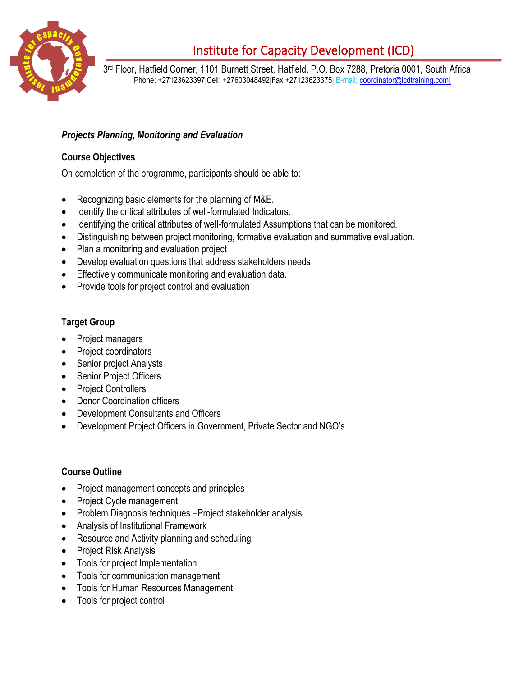

# Institute for Capacity Development (ICD)

3 rd Floor, Hatfield Corner, 1101 Burnett Street, Hatfield, P.O. Box 7288, Pretoria 0001, South Africa Phone: +27123623397|Cell: +27603048492|Fax +27123623375| E-mail: [coordinator@icdtraining.com|](mailto:coordinator@icdtraining.com%7C)

## *Projects Planning, Monitoring and Evaluation*

#### **Course Objectives**

On completion of the programme, participants should be able to:

- Recognizing basic elements for the planning of M&E.
- Identify the critical attributes of well-formulated Indicators.
- Identifying the critical attributes of well-formulated Assumptions that can be monitored.
- Distinguishing between project monitoring, formative evaluation and summative evaluation.
- Plan a monitoring and evaluation project
- Develop evaluation questions that address stakeholders needs
- Effectively communicate monitoring and evaluation data.
- Provide tools for project control and evaluation

### **Target Group**

- Project managers
- Project coordinators
- Senior project Analysts
- Senior Project Officers
- Project Controllers
- Donor Coordination officers
- Development Consultants and Officers
- Development Project Officers in Government, Private Sector and NGO's

#### **Course Outline**

- Project management concepts and principles
- Project Cycle management
- Problem Diagnosis techniques –Project stakeholder analysis
- Analysis of Institutional Framework
- Resource and Activity planning and scheduling
- Project Risk Analysis
- Tools for project Implementation
- Tools for communication management
- Tools for Human Resources Management
- Tools for project control